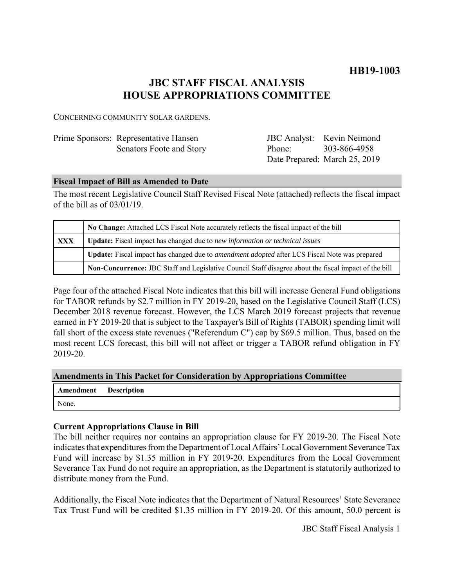**HB19-1003**

# **JBC STAFF FISCAL ANALYSIS HOUSE APPROPRIATIONS COMMITTEE**

CONCERNING COMMUNITY SOLAR GARDENS.

| Prime Sponsors: Representative Hansen |        | <b>JBC</b> Analyst: Kevin Neimond |
|---------------------------------------|--------|-----------------------------------|
| Senators Foote and Story              | Phone: | 303-866-4958                      |
|                                       |        | Date Prepared: March 25, 2019     |

### **Fiscal Impact of Bill as Amended to Date**

The most recent Legislative Council Staff Revised Fiscal Note (attached) reflects the fiscal impact of the bill as of 03/01/19.

|            | No Change: Attached LCS Fiscal Note accurately reflects the fiscal impact of the bill                       |  |
|------------|-------------------------------------------------------------------------------------------------------------|--|
| <b>XXX</b> | <b>Update:</b> Fiscal impact has changed due to new information or technical issues                         |  |
|            | <b>Update:</b> Fiscal impact has changed due to <i>amendment adopted</i> after LCS Fiscal Note was prepared |  |
|            | Non-Concurrence: JBC Staff and Legislative Council Staff disagree about the fiscal impact of the bill       |  |

Page four of the attached Fiscal Note indicates that this bill will increase General Fund obligations for TABOR refunds by \$2.7 million in FY 2019-20, based on the Legislative Council Staff (LCS) December 2018 revenue forecast. However, the LCS March 2019 forecast projects that revenue earned in FY 2019-20 that is subject to the Taxpayer's Bill of Rights (TABOR) spending limit will fall short of the excess state revenues ("Referendum C") cap by \$69.5 million. Thus, based on the most recent LCS forecast, this bill will not affect or trigger a TABOR refund obligation in FY 2019-20.

**Amendments in This Packet for Consideration by Appropriations Committee**

| Amendment Description |  |
|-----------------------|--|
| None.                 |  |

### **Current Appropriations Clause in Bill**

The bill neither requires nor contains an appropriation clause for FY 2019-20. The Fiscal Note indicates that expenditures from the Department of Local Affairs' Local Government Severance Tax Fund will increase by \$1.35 million in FY 2019-20. Expenditures from the Local Government Severance Tax Fund do not require an appropriation, as the Department is statutorily authorized to distribute money from the Fund.

Additionally, the Fiscal Note indicates that the Department of Natural Resources' State Severance Tax Trust Fund will be credited \$1.35 million in FY 2019-20. Of this amount, 50.0 percent is

JBC Staff Fiscal Analysis 1